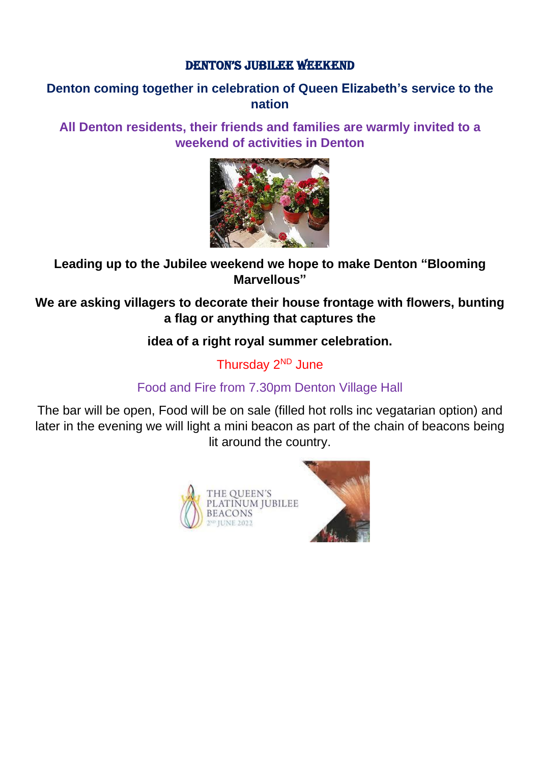#### DENTON'S JUBILEE WEEKEND

#### **Denton coming together in celebration of Queen Elizabeth's service to the nation**

**All Denton residents, their friends and families are warmly invited to a weekend of activities in Denton**



### **Leading up to the Jubilee weekend we hope to make Denton "Blooming Marvellous"**

**We are asking villagers to decorate their house frontage with flowers, bunting a flag or anything that captures the** 

### **idea of a right royal summer celebration.**

Thursday 2<sup>ND</sup> June

## Food and Fire from 7.30pm Denton Village Hall

The bar will be open, Food will be on sale (filled hot rolls inc vegatarian option) and later in the evening we will light a mini beacon as part of the chain of beacons being lit around the country.